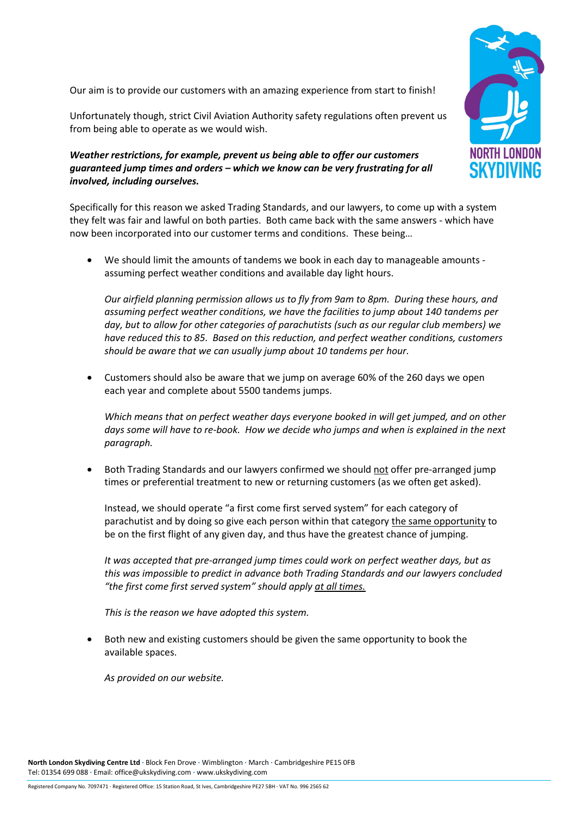Our aim is to provide our customers with an amazing experience from start to finish!

Unfortunately though, strict Civil Aviation Authority safety regulations often prevent us from being able to operate as we would wish.

## Weather restrictions, for example, prevent us being able to offer our customers guaranteed jump times and orders – which we know can be very frustrating for all involved, including ourselves.



Specifically for this reason we asked Trading Standards, and our lawyers, to come up with a system they felt was fair and lawful on both parties. Both came back with the same answers - which have now been incorporated into our customer terms and conditions. These being…

• We should limit the amounts of tandems we book in each day to manageable amounts assuming perfect weather conditions and available day light hours.

Our airfield planning permission allows us to fly from 9am to 8pm. During these hours, and assuming perfect weather conditions, we have the facilities to jump about 140 tandems per day, but to allow for other categories of parachutists (such as our regular club members) we have reduced this to 85. Based on this reduction, and perfect weather conditions, customers should be aware that we can usually jump about 10 tandems per hour.

• Customers should also be aware that we jump on average 60% of the 260 days we open each year and complete about 5500 tandems jumps.

Which means that on perfect weather days everyone booked in will get jumped, and on other days some will have to re-book. How we decide who jumps and when is explained in the next paragraph.

Both Trading Standards and our lawyers confirmed we should not offer pre-arranged jump times or preferential treatment to new or returning customers (as we often get asked).

Instead, we should operate "a first come first served system" for each category of parachutist and by doing so give each person within that category the same opportunity to be on the first flight of any given day, and thus have the greatest chance of jumping.

It was accepted that pre-arranged jump times could work on perfect weather days, but as this was impossible to predict in advance both Trading Standards and our lawyers concluded "the first come first served system" should apply at all times.

This is the reason we have adopted this system.

• Both new and existing customers should be given the same opportunity to book the available spaces.

As provided on our website.

North London Skydiving Centre Ltd ∙ Block Fen Drove ∙ Wimblington ∙ March ∙ Cambridgeshire PE15 0FB Tel: 01354 699 088 ∙ Email: office@ukskydiving.com ∙ www.ukskydiving.com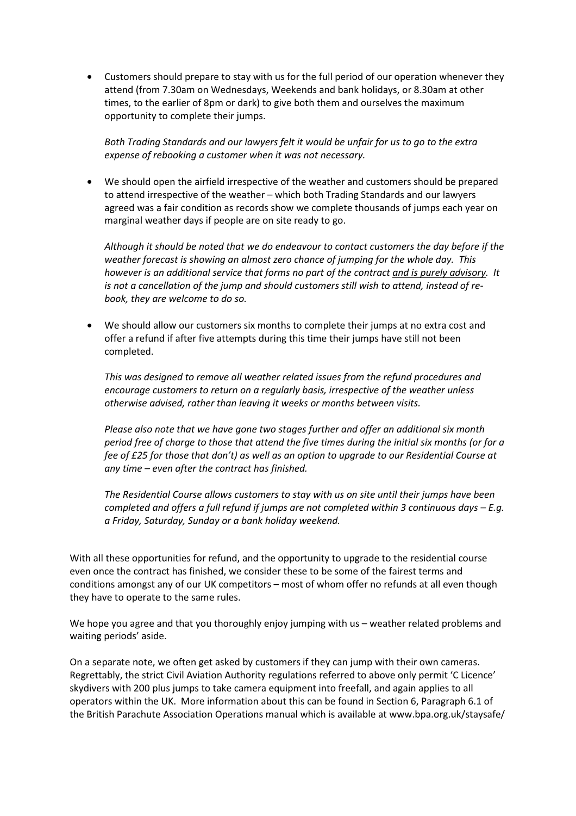• Customers should prepare to stay with us for the full period of our operation whenever they attend (from 7.30am on Wednesdays, Weekends and bank holidays, or 8.30am at other times, to the earlier of 8pm or dark) to give both them and ourselves the maximum opportunity to complete their jumps.

Both Trading Standards and our lawyers felt it would be unfair for us to go to the extra expense of rebooking a customer when it was not necessary.

• We should open the airfield irrespective of the weather and customers should be prepared to attend irrespective of the weather – which both Trading Standards and our lawyers agreed was a fair condition as records show we complete thousands of jumps each year on marginal weather days if people are on site ready to go.

Although it should be noted that we do endeavour to contact customers the day before if the weather forecast is showing an almost zero chance of jumping for the whole day. This however is an additional service that forms no part of the contract and is purely advisory. It is not a cancellation of the jump and should customers still wish to attend, instead of rebook, they are welcome to do so.

• We should allow our customers six months to complete their jumps at no extra cost and offer a refund if after five attempts during this time their jumps have still not been completed.

This was designed to remove all weather related issues from the refund procedures and encourage customers to return on a regularly basis, irrespective of the weather unless otherwise advised, rather than leaving it weeks or months between visits.

Please also note that we have gone two stages further and offer an additional six month period free of charge to those that attend the five times during the initial six months (or for a fee of £25 for those that don't) as well as an option to upgrade to our Residential Course at any time – even after the contract has finished.

The Residential Course allows customers to stay with us on site until their jumps have been completed and offers a full refund if jumps are not completed within 3 continuous days – E.g. a Friday, Saturday, Sunday or a bank holiday weekend.

With all these opportunities for refund, and the opportunity to upgrade to the residential course even once the contract has finished, we consider these to be some of the fairest terms and conditions amongst any of our UK competitors – most of whom offer no refunds at all even though they have to operate to the same rules.

We hope you agree and that you thoroughly enjoy jumping with us – weather related problems and waiting periods' aside.

On a separate note, we often get asked by customers if they can jump with their own cameras. Regrettably, the strict Civil Aviation Authority regulations referred to above only permit 'C Licence' skydivers with 200 plus jumps to take camera equipment into freefall, and again applies to all operators within the UK. More information about this can be found in Section 6, Paragraph 6.1 of the British Parachute Association Operations manual which is available at www.bpa.org.uk/staysafe/